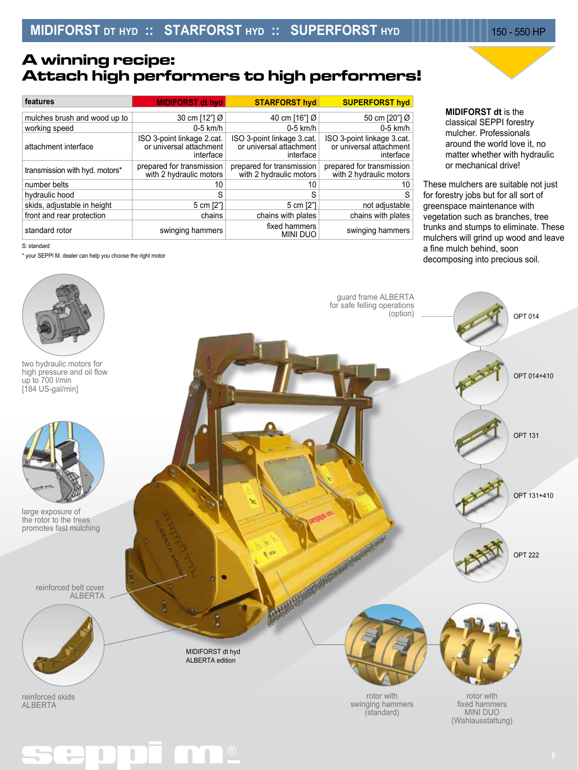## **A winning recipe: Attach high performers to high performers!**

| features                       | <b>MIDIFORST dt hyd</b>                                            | <b>STARFORST hyd</b>                                               | <b>SUPERFORST hyd</b>                                              |  |  |
|--------------------------------|--------------------------------------------------------------------|--------------------------------------------------------------------|--------------------------------------------------------------------|--|--|
| mulches brush and wood up to   | 30 cm [12"] Ø                                                      | 40 cm [16"] Ø                                                      | 50 cm [20"] Ø                                                      |  |  |
| working speed                  | $0-5$ km/h                                                         | $0-5$ km/h                                                         | $0-5$ km/h                                                         |  |  |
| attachment interface           | ISO 3-point linkage 2.cat.<br>or universal attachment<br>interface | ISO 3-point linkage 3.cat.<br>or universal attachment<br>interface | ISO 3-point linkage 3.cat.<br>or universal attachment<br>interface |  |  |
| transmission with hyd. motors* | prepared for transmission<br>with 2 hydraulic motors               | prepared for transmission<br>with 2 hydraulic motors               | prepared for transmission<br>with 2 hydraulic motors               |  |  |
| number belts                   | 10                                                                 | 10                                                                 | 10                                                                 |  |  |
| hydraulic hood                 | S                                                                  | S                                                                  | S                                                                  |  |  |
| skids, adjustable in height    | 5 cm [2"]                                                          | 5 cm [2"]                                                          | not adjustable                                                     |  |  |
| front and rear protection      | chains                                                             | chains with plates                                                 | chains with plates                                                 |  |  |
| standard rotor                 | swinging hammers                                                   | fixed hammers<br><b>MINI DUO</b>                                   | swinging hammers                                                   |  |  |

**MIDIFORST dt** is the classical SEPPI forestry mulcher. Professionals around the world love it, no matter whether with hydraulic or mechanical drive!

These mulchers are suitable not just for forestry jobs but for all sort of greenspace maintenance with vegetation such as branches, tree trunks and stumps to eliminate. These mulchers will grind up wood and leave a fine mulch behind, soon decomposing into precious soil.

| S: standard |  |
|-------------|--|
|             |  |

\* your SEPPI M. dealer can help you choose the right motor

 $\mathcal{C}$